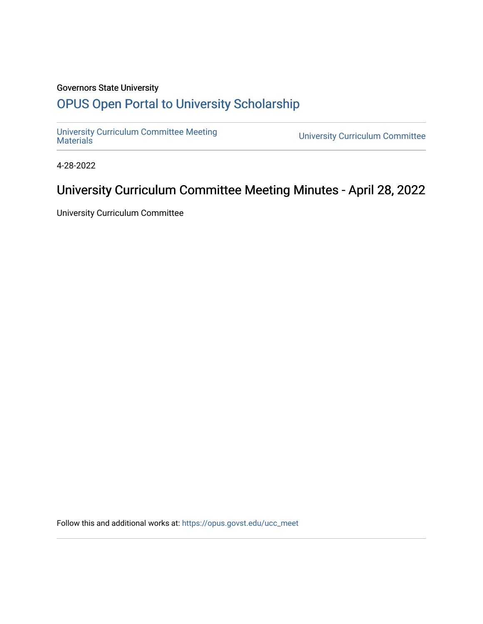## Governors State University

# [OPUS Open Portal to University Scholarship](https://opus.govst.edu/)

[University Curriculum Committee Meeting](https://opus.govst.edu/ucc_meet) 

**University Curriculum Committee** 

4-28-2022

# University Curriculum Committee Meeting Minutes - April 28, 2022

University Curriculum Committee

Follow this and additional works at: [https://opus.govst.edu/ucc\\_meet](https://opus.govst.edu/ucc_meet?utm_source=opus.govst.edu%2Fucc_meet%2F30&utm_medium=PDF&utm_campaign=PDFCoverPages)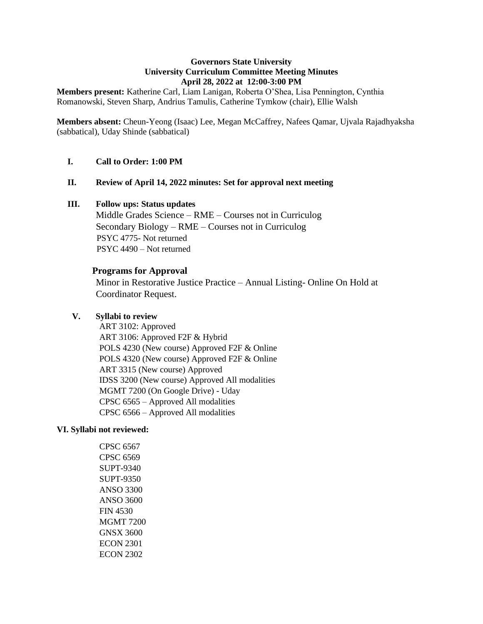#### **Governors State University University Curriculum Committee Meeting Minutes April 28, 2022 at 12:00-3:00 PM**

**Members present:** Katherine Carl, Liam Lanigan, Roberta O'Shea, Lisa Pennington, Cynthia Romanowski, Steven Sharp, Andrius Tamulis, Catherine Tymkow (chair), Ellie Walsh

**Members absent:** Cheun-Yeong (Isaac) Lee, Megan McCaffrey, Nafees Qamar, Ujvala Rajadhyaksha (sabbatical), Uday Shinde (sabbatical)

### **I. Call to Order: 1:00 PM**

#### **II. Review of April 14, 2022 minutes: Set for approval next meeting**

#### **III. Follow ups: Status updates**

Middle Grades Science – RME – Courses not in Curriculog Secondary Biology – RME – Courses not in Curriculog PSYC 4775- Not returned PSYC 4490 – Not returned

#### **Programs for Approval**

Minor in Restorative Justice Practice – Annual Listing- Online On Hold at Coordinator Request.

### **V. Syllabi to review**

ART 3102: Approved ART 3106: Approved F2F & Hybrid POLS 4230 (New course) Approved F2F & Online POLS 4320 (New course) Approved F2F & Online ART 3315 (New course) Approved IDSS 3200 (New course) Approved All modalities MGMT 7200 (On Google Drive) - Uday CPSC 6565 – Approved All modalities CPSC 6566 – Approved All modalities

#### **VI. Syllabi not reviewed:**

CPSC 6567 CPSC 6569 SUPT-9340 SUPT-9350 ANSO 3300 ANSO 3600 FIN 4530 MGMT 7200 GNSX 3600 ECON 2301 ECON 2302